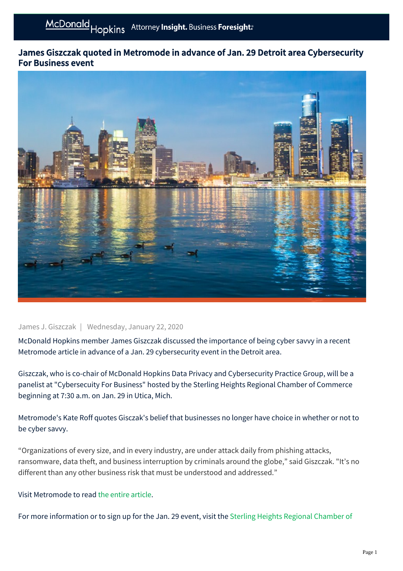## James Giszczak quoted in Metromode in advance of Jan. 29 Detroit area Cybersecurity For Business event



## James J. Giszczak | Wednesday, January 22, 2020

McDonald Hopkins member James Giszczak discussed the importance of being cyber savvy in a recent Metromode article in advance of a Jan. 29 cybersecurity event in the Detroit area.

Giszczak, who is co-chair of McDonald Hopkins Data Privacy and Cybersecurity Practice Group, will be a panelist at "Cybersecuity For Business" hosted by the Sterling Heights Regional Chamber of Commerce beginning at 7:30 a.m. on Jan. 29 in Utica, Mich.

Metromode's Kate Roff quotes Gisczak's belief that businesses no longer have choice in whether or not to be cyber savvy.

"Organizations of every size, and in every industry, are under attack daily from phishing attacks, ransomware, data theft, and business interruption by criminals around the globe," said Giszczak. "It's no different than any other business risk that must be understood and addressed."

## Visit Metromode to read [the entire article.](https://www.secondwavemedia.com/metromode/innovationnews/MacombBusinessCyberSecurity.aspx)

[For more information or to sign up for the Jan. 29 event, visit the Sterling Heights Regional Chamber of](https://web.shrcci.com/events/Cyber-Security-For-Business-1932/details)